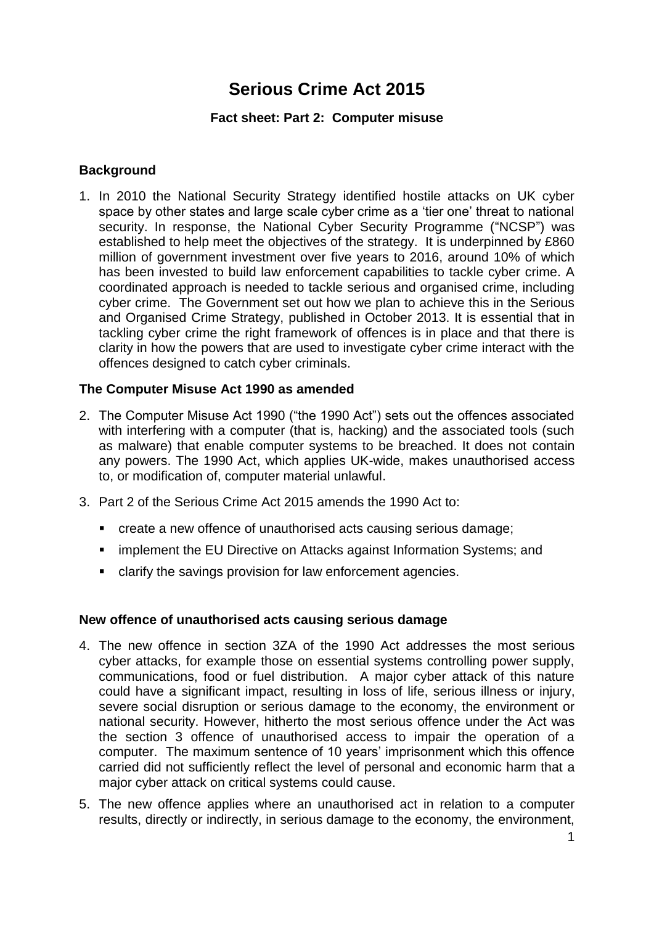# **Serious Crime Act 2015**

# **Fact sheet: Part 2: Computer misuse**

# **Background**

1. In 2010 the National Security Strategy identified hostile attacks on UK cyber space by other states and large scale cyber crime as a 'tier one' threat to national security. In response, the National Cyber Security Programme ("NCSP") was established to help meet the objectives of the strategy. It is underpinned by £860 million of government investment over five years to 2016, around 10% of which has been invested to build law enforcement capabilities to tackle cyber crime. A coordinated approach is needed to tackle serious and organised crime, including cyber crime. The Government set out how we plan to achieve this in the Serious and Organised Crime Strategy, published in October 2013. It is essential that in tackling cyber crime the right framework of offences is in place and that there is clarity in how the powers that are used to investigate cyber crime interact with the offences designed to catch cyber criminals.

# **The Computer Misuse Act 1990 as amended**

- 2. The Computer Misuse Act 1990 ("the 1990 Act") sets out the offences associated with interfering with a computer (that is, hacking) and the associated tools (such as malware) that enable computer systems to be breached. It does not contain any powers. The 1990 Act, which applies UK-wide, makes unauthorised access to, or modification of, computer material unlawful.
- 3. Part 2 of the Serious Crime Act 2015 amends the 1990 Act to:
	- create a new offence of unauthorised acts causing serious damage;
	- **EXEDENCIES In Attacks against Information Systems; and infinity in Attacks against Information Systems; and**
	- clarify the savings provision for law enforcement agencies.

#### **New offence of unauthorised acts causing serious damage**

- 4. The new offence in section 3ZA of the 1990 Act addresses the most serious cyber attacks, for example those on essential systems controlling power supply, communications, food or fuel distribution. A major cyber attack of this nature could have a significant impact, resulting in loss of life, serious illness or injury, severe social disruption or serious damage to the economy, the environment or national security. However, hitherto the most serious offence under the Act was the section 3 offence of unauthorised access to impair the operation of a computer. The maximum sentence of 10 years' imprisonment which this offence carried did not sufficiently reflect the level of personal and economic harm that a major cyber attack on critical systems could cause.
- 5. The new offence applies where an unauthorised act in relation to a computer results, directly or indirectly, in serious damage to the economy, the environment,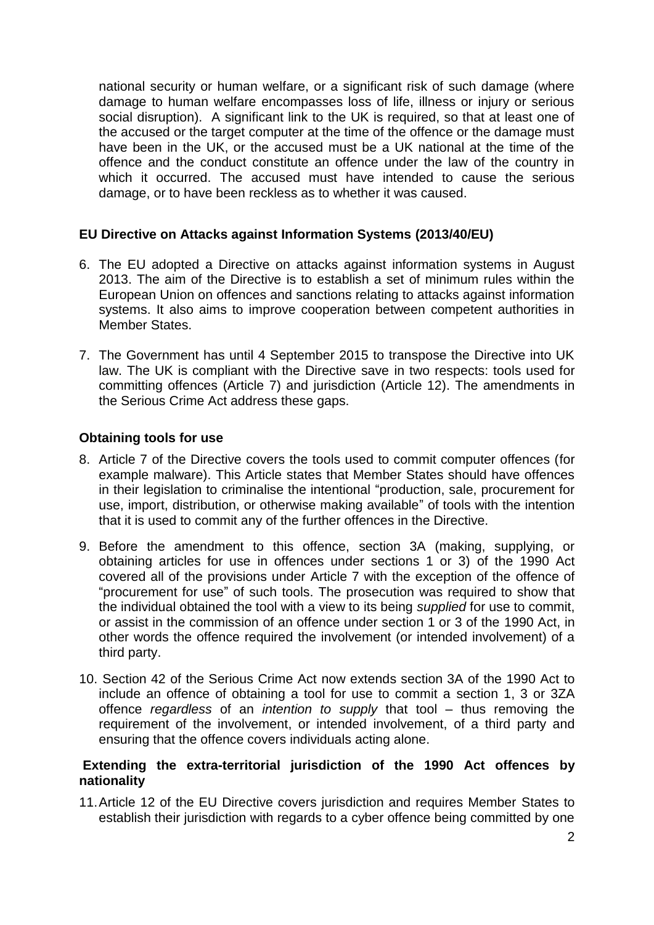national security or human welfare, or a significant risk of such damage (where damage to human welfare encompasses loss of life, illness or injury or serious social disruption). A significant link to the UK is required, so that at least one of the accused or the target computer at the time of the offence or the damage must have been in the UK, or the accused must be a UK national at the time of the offence and the conduct constitute an offence under the law of the country in which it occurred. The accused must have intended to cause the serious damage, or to have been reckless as to whether it was caused.

# **EU Directive on Attacks against Information Systems (2013/40/EU)**

- 6. The EU adopted a Directive on attacks against information systems in August 2013. The aim of the Directive is to establish a set of minimum rules within the European Union on offences and sanctions relating to attacks against information systems. It also aims to improve cooperation between competent authorities in Member States.
- 7. The Government has until 4 September 2015 to transpose the Directive into UK law. The UK is compliant with the Directive save in two respects: tools used for committing offences (Article 7) and jurisdiction (Article 12). The amendments in the Serious Crime Act address these gaps.

# **Obtaining tools for use**

- 8. Article 7 of the Directive covers the tools used to commit computer offences (for example malware). This Article states that Member States should have offences in their legislation to criminalise the intentional "production, sale, procurement for use, import, distribution, or otherwise making available" of tools with the intention that it is used to commit any of the further offences in the Directive.
- 9. Before the amendment to this offence, section 3A (making, supplying, or obtaining articles for use in offences under sections 1 or 3) of the 1990 Act covered all of the provisions under Article 7 with the exception of the offence of "procurement for use" of such tools. The prosecution was required to show that the individual obtained the tool with a view to its being *supplied* for use to commit, or assist in the commission of an offence under section 1 or 3 of the 1990 Act, in other words the offence required the involvement (or intended involvement) of a third party.
- 10. Section 42 of the Serious Crime Act now extends section 3A of the 1990 Act to include an offence of obtaining a tool for use to commit a section 1, 3 or 3ZA offence *regardless* of an *intention to supply* that tool – thus removing the requirement of the involvement, or intended involvement, of a third party and ensuring that the offence covers individuals acting alone.

# **Extending the extra-territorial jurisdiction of the 1990 Act offences by nationality**

11.Article 12 of the EU Directive covers jurisdiction and requires Member States to establish their jurisdiction with regards to a cyber offence being committed by one